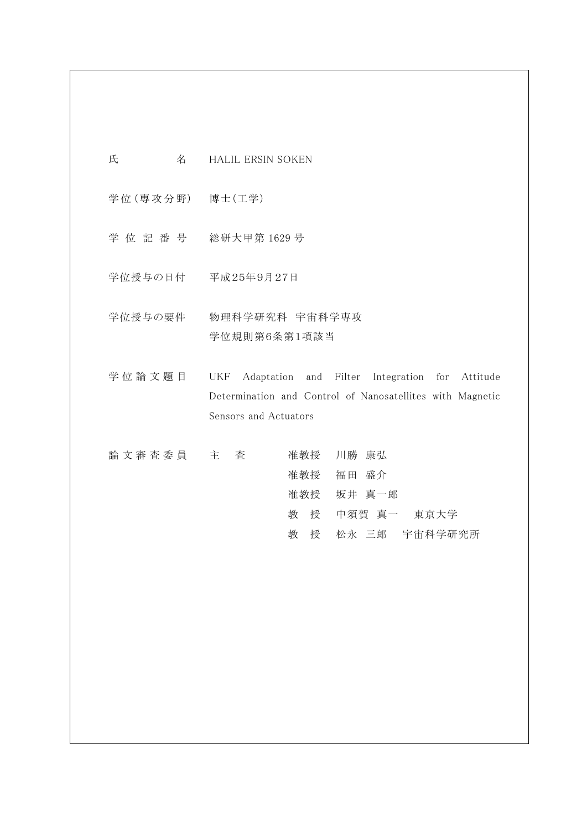- 氏 名 HALIL ERSIN SOKEN
- 学位 (専攻分野) 博士 (工学)
- 学 位 記 番 号 総研大甲第 1629 号
- 学位授与の日付 平成25年9月27日
- 学位授与の要件 物理科学研究科 宇宙科学専攻 学位規則第6条第1項該当
- 学位論文題目 UKF Adaptation and Filter Integration for Attitude Determination and Control of Nanosatellites with Magnetic Sensors and Actuators
- 論 文 審 査 委 員 主 査 准教授 川勝 康弘 准教授 福田 盛介 准教授 坂井 真一郎 教 授 中須賀 真一 東京大学 教 授 松永 三郎 宇宙科学研究所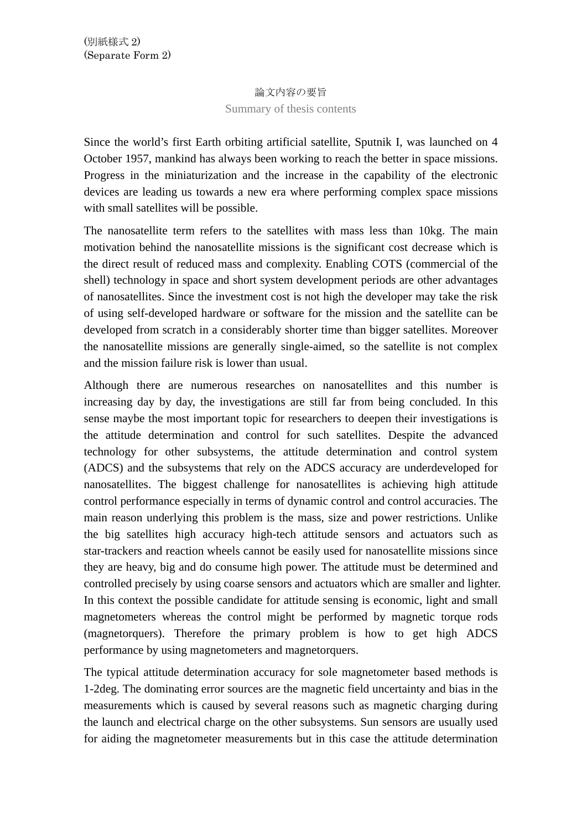## 論文内容の要旨 Summary of thesis contents

Since the world's first Earth orbiting artificial satellite, Sputnik I, was launched on 4 October 1957, mankind has always been working to reach the better in space missions. Progress in the miniaturization and the increase in the capability of the electronic devices are leading us towards a new era where performing complex space missions with small satellites will be possible.

The nanosatellite term refers to the satellites with mass less than 10kg. The main motivation behind the nanosatellite missions is the significant cost decrease which is the direct result of reduced mass and complexity. Enabling COTS (commercial of the shell) technology in space and short system development periods are other advantages of nanosatellites. Since the investment cost is not high the developer may take the risk of using self-developed hardware or software for the mission and the satellite can be developed from scratch in a considerably shorter time than bigger satellites. Moreover the nanosatellite missions are generally single-aimed, so the satellite is not complex and the mission failure risk is lower than usual.

Although there are numerous researches on nanosatellites and this number is increasing day by day, the investigations are still far from being concluded. In this sense maybe the most important topic for researchers to deepen their investigations is the attitude determination and control for such satellites. Despite the advanced technology for other subsystems, the attitude determination and control system (ADCS) and the subsystems that rely on the ADCS accuracy are underdeveloped for nanosatellites. The biggest challenge for nanosatellites is achieving high attitude control performance especially in terms of dynamic control and control accuracies. The main reason underlying this problem is the mass, size and power restrictions. Unlike the big satellites high accuracy high-tech attitude sensors and actuators such as star-trackers and reaction wheels cannot be easily used for nanosatellite missions since they are heavy, big and do consume high power. The attitude must be determined and controlled precisely by using coarse sensors and actuators which are smaller and lighter. In this context the possible candidate for attitude sensing is economic, light and small magnetometers whereas the control might be performed by magnetic torque rods (magnetorquers). Therefore the primary problem is how to get high ADCS performance by using magnetometers and magnetorquers.

The typical attitude determination accuracy for sole magnetometer based methods is 1-2deg. The dominating error sources are the magnetic field uncertainty and bias in the measurements which is caused by several reasons such as magnetic charging during the launch and electrical charge on the other subsystems. Sun sensors are usually used for aiding the magnetometer measurements but in this case the attitude determination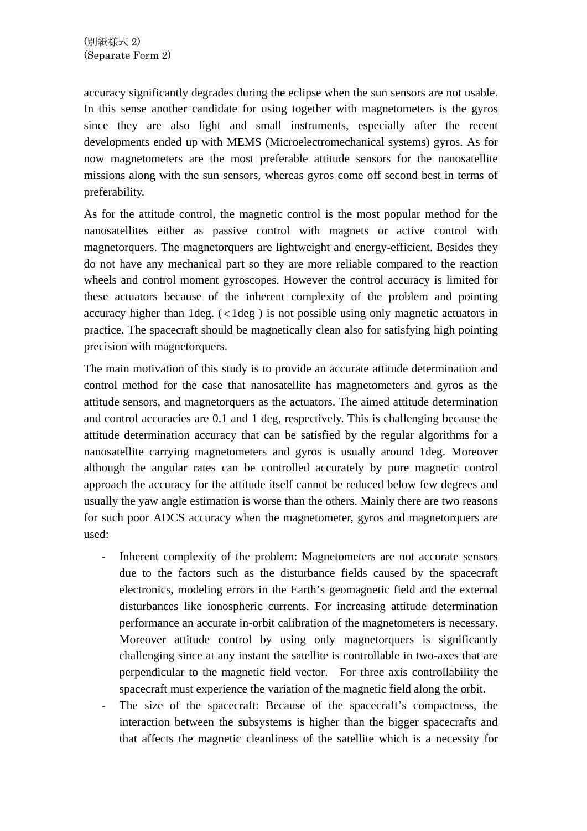accuracy significantly degrades during the eclipse when the sun sensors are not usable. In this sense another candidate for using together with magnetometers is the gyros since they are also light and small instruments, especially after the recent developments ended up with MEMS (Microelectromechanical systems) gyros. As for now magnetometers are the most preferable attitude sensors for the nanosatellite missions along with the sun sensors, whereas gyros come off second best in terms of preferability.

As for the attitude control, the magnetic control is the most popular method for the nanosatellites either as passive control with magnets or active control with magnetorquers. The magnetorquers are lightweight and energy-efficient. Besides they do not have any mechanical part so they are more reliable compared to the reaction wheels and control moment gyroscopes. However the control accuracy is limited for these actuators because of the inherent complexity of the problem and pointing accuracy higher than  $1 \text{deg.}$  ( $\lt 1 \text{deg}$ ) is not possible using only magnetic actuators in practice. The spacecraft should be magnetically clean also for satisfying high pointing precision with magnetorquers.

The main motivation of this study is to provide an accurate attitude determination and control method for the case that nanosatellite has magnetometers and gyros as the attitude sensors, and magnetorquers as the actuators. The aimed attitude determination and control accuracies are 0.1 and 1 deg, respectively. This is challenging because the attitude determination accuracy that can be satisfied by the regular algorithms for a nanosatellite carrying magnetometers and gyros is usually around 1deg. Moreover although the angular rates can be controlled accurately by pure magnetic control approach the accuracy for the attitude itself cannot be reduced below few degrees and usually the yaw angle estimation is worse than the others. Mainly there are two reasons for such poor ADCS accuracy when the magnetometer, gyros and magnetorquers are used:

- Inherent complexity of the problem: Magnetometers are not accurate sensors due to the factors such as the disturbance fields caused by the spacecraft electronics, modeling errors in the Earth's geomagnetic field and the external disturbances like ionospheric currents. For increasing attitude determination performance an accurate in-orbit calibration of the magnetometers is necessary. Moreover attitude control by using only magnetorquers is significantly challenging since at any instant the satellite is controllable in two-axes that are perpendicular to the magnetic field vector. For three axis controllability the spacecraft must experience the variation of the magnetic field along the orbit.
- The size of the spacecraft: Because of the spacecraft's compactness, the interaction between the subsystems is higher than the bigger spacecrafts and that affects the magnetic cleanliness of the satellite which is a necessity for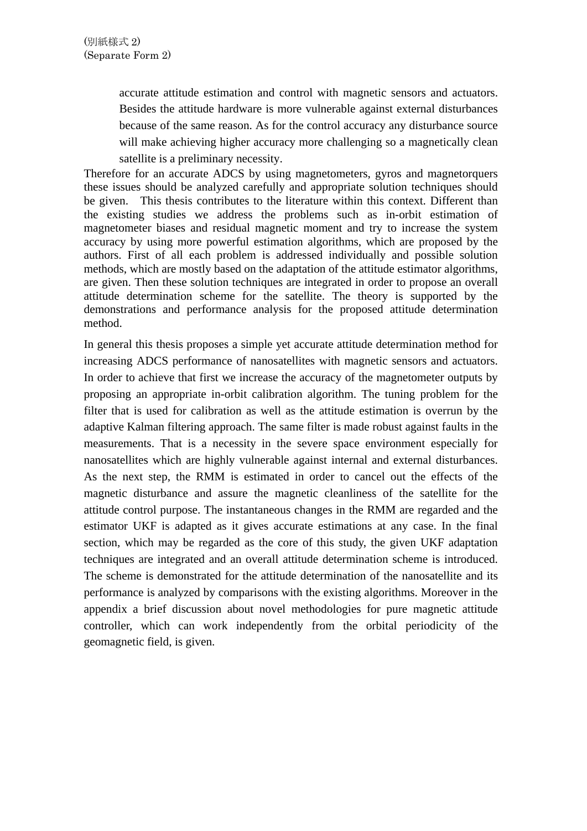accurate attitude estimation and control with magnetic sensors and actuators. Besides the attitude hardware is more vulnerable against external disturbances because of the same reason. As for the control accuracy any disturbance source will make achieving higher accuracy more challenging so a magnetically clean satellite is a preliminary necessity.

Therefore for an accurate ADCS by using magnetometers, gyros and magnetorquers these issues should be analyzed carefully and appropriate solution techniques should be given. This thesis contributes to the literature within this context. Different than the existing studies we address the problems such as in-orbit estimation of magnetometer biases and residual magnetic moment and try to increase the system accuracy by using more powerful estimation algorithms, which are proposed by the authors. First of all each problem is addressed individually and possible solution methods, which are mostly based on the adaptation of the attitude estimator algorithms, are given. Then these solution techniques are integrated in order to propose an overall attitude determination scheme for the satellite. The theory is supported by the demonstrations and performance analysis for the proposed attitude determination method.

In general this thesis proposes a simple yet accurate attitude determination method for increasing ADCS performance of nanosatellites with magnetic sensors and actuators. In order to achieve that first we increase the accuracy of the magnetometer outputs by proposing an appropriate in-orbit calibration algorithm. The tuning problem for the filter that is used for calibration as well as the attitude estimation is overrun by the adaptive Kalman filtering approach. The same filter is made robust against faults in the measurements. That is a necessity in the severe space environment especially for nanosatellites which are highly vulnerable against internal and external disturbances. As the next step, the RMM is estimated in order to cancel out the effects of the magnetic disturbance and assure the magnetic cleanliness of the satellite for the attitude control purpose. The instantaneous changes in the RMM are regarded and the estimator UKF is adapted as it gives accurate estimations at any case. In the final section, which may be regarded as the core of this study, the given UKF adaptation techniques are integrated and an overall attitude determination scheme is introduced. The scheme is demonstrated for the attitude determination of the nanosatellite and its performance is analyzed by comparisons with the existing algorithms. Moreover in the appendix a brief discussion about novel methodologies for pure magnetic attitude controller, which can work independently from the orbital periodicity of the geomagnetic field, is given.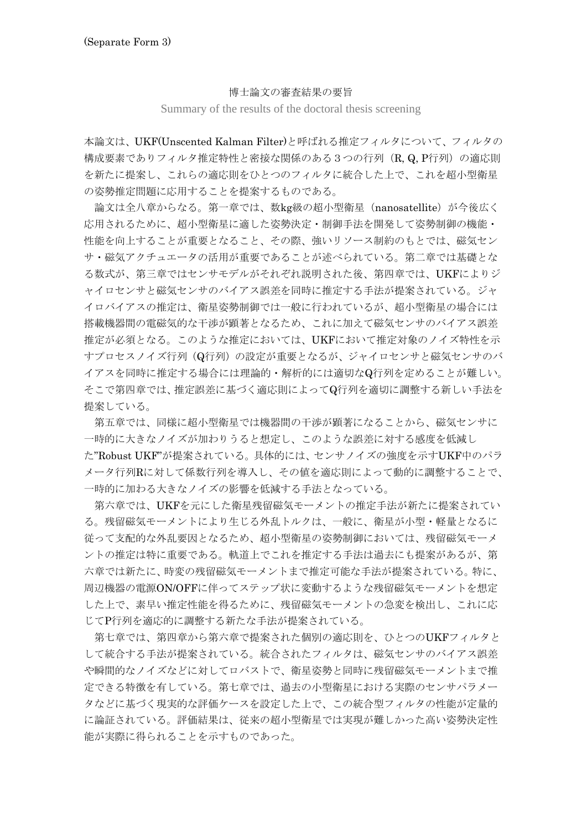## 博士論文の審査結果の要旨

Summary of the results of the doctoral thesis screening

本論文は、UKF(Unscented Kalman Filter)と呼ばれる推定フィルタについて、フィルタの 構成要素でありフィルタ推定特性と密接な関係のある3つの行列 (R, Q, P行列) の適応則 を新たに提案し、これらの適応則をひとつのフィルタに統合した上で、これを超小型衛星 の姿勢推定問題に応用することを提案するものである。

 論文は全八章からなる。第一章では、数kg級の超小型衛星(nanosatellite)が今後広く 応用されるために、超小型衛星に適した姿勢決定・制御手法を開発して姿勢制御の機能・ 性能を向上することが重要となること、その際、強いリソース制約のもとでは、磁気セン サ・磁気アクチュエータの活用が重要であることが述べられている。第二章では基礎とな る数式が、第三章ではセンサモデルがそれぞれ説明された後、第四章では、UKFによりジ ャイロセンサと磁気センサのバイアス誤差を同時に推定する手法が提案されている。ジャ イロバイアスの推定は、衛星姿勢制御では一般に行われているが、超小型衛星の場合には 搭載機器間の電磁気的な干渉が顕著となるため、これに加えて磁気センサのバイアス誤差 推定が必須となる。このような推定においては、UKFにおいて推定対象のノイズ特性を示 すプロセスノイズ行列(Q行列)の設定が重要となるが、ジャイロセンサと磁気センサのバ イアスを同時に推定する場合には理論的・解析的には適切なQ行列を定めることが難しい。 そこで第四章では、推定誤差に基づく適応則によってQ行列を適切に調整する新しい手法を 提案している。

 第五章では、同様に超小型衛星では機器間の干渉が顕著になることから、磁気センサに 一時的に大きなノイズが加わりうると想定し、このような誤差に対する感度を低減し

た"Robust UKF"が提案されている。具体的には、センサノイズの強度を示すUKF中のパラ メータ行列Rに対して係数行列を導入し、その値を適応則によって動的に調整することで、 一時的に加わる大きなノイズの影響を低減する手法となっている。

 第六章では、UKFを元にした衛星残留磁気モーメントの推定手法が新たに提案されてい る。残留磁気モーメントにより生じる外乱トルクは、一般に、衛星が小型・軽量となるに 従って支配的な外乱要因となるため、超小型衛星の姿勢制御においては、残留磁気モーメ ントの推定は特に重要である。軌道上でこれを推定する手法は過去にも提案があるが、第 六章では新たに、時変の残留磁気モーメントまで推定可能な手法が提案されている。特に、 周辺機器の電源ON/OFFに伴ってステップ状に変動するような残留磁気モーメントを想定 した上で、素早い推定性能を得るために、残留磁気モーメントの急変を検出し、これに応 じてP行列を適応的に調整する新たな手法が提案されている。

 第七章では、第四章から第六章で提案された個別の適応則を、ひとつのUKFフィルタと して統合する手法が提案されている。統合されたフィルタは、磁気センサのバイアス誤差 や瞬間的なノイズなどに対してロバストで、衛星姿勢と同時に残留磁気モーメントまで推 定できる特徴を有している。第七章では、過去の小型衛星における実際のセンサパラメー タなどに基づく現実的な評価ケースを設定した上で、この統合型フィルタの性能が定量的 に論証されている。評価結果は、従来の超小型衛星では実現が難しかった高い姿勢決定性 能が実際に得られることを示すものであった。